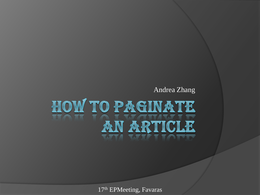#### Andrea Zhang

# HOW TO PAGINATE AN ARTICLE

17th EPMeeting, Favaras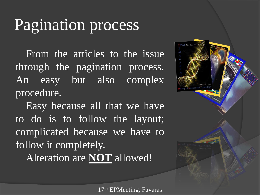# Pagination process

From the articles to the issue through the pagination process. An easy but also complex procedure.

Easy because all that we have to do is to follow the layout; complicated because we have to follow it completely.

Alteration are **NOT** allowed!

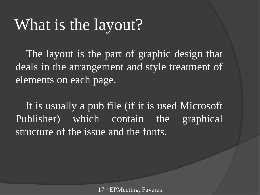## What is the layout?

The layout is the part of graphic design that deals in the arrangement and style treatment of elements on each page.

It is usually a pub file (if it is used Microsoft Publisher) which contain the graphical structure of the issue and the fonts.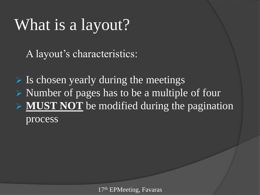# What is a layout?

A layout's characteristics:

 $\triangleright$  Is chosen yearly during the meetings  $\triangleright$  Number of pages has to be a multiple of four **MUST NOT** be modified during the pagination process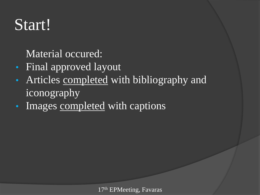# Start!

Material occured:

- Final approved layout
- Articles completed with bibliography and iconography
- Images completed with captions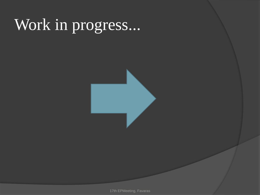# Work in progress...



17th EPMeeting, Favaras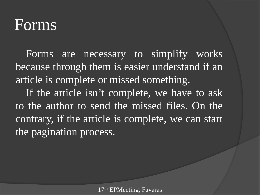#### Forms

Forms are necessary to simplify works because through them is easier understand if an article is complete or missed something.

If the article isn't complete, we have to ask to the author to send the missed files. On the contrary, if the article is complete, we can start the pagination process.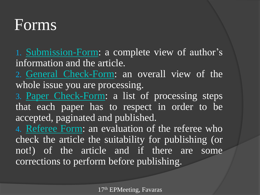#### Forms

1. [Submission-Form](SubmissionForm2012.docx): a complete view of author's information and the article.

2. [General](CheckFormGeneralIssue-2012.doc) [Check-Form:](CheckFormGeneralIssue-2012.doc) an overall view of the whole issue you are processing.

3. [Paper](CheckFormArticle2012.doc) [Check-Form](CheckFormArticle2012.doc): a list of processing steps that each paper has to respect in order to be accepted, paginated and published.

4. [Referee](FormForReferees2010.doc) [Form](FormForReferees2010.doc): an evaluation of the referee who check the article the suitability for publishing (or not!) of the article and if there are some corrections to perform before publishing.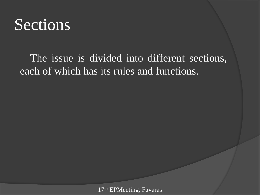#### Sections

The issue is divided into different sections, each of which has its rules and functions.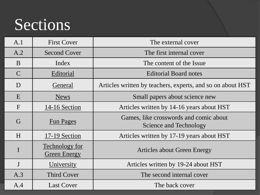## Sections

<span id="page-9-0"></span>

| A.1          | <b>First Cover</b>                           | The external cover                                               |
|--------------|----------------------------------------------|------------------------------------------------------------------|
| A.2          | <b>Second Cover</b>                          | The first internal cover                                         |
| $\mathbf{B}$ | Index                                        | The content of the Issue                                         |
| $\mathsf{C}$ | Editorial                                    | <b>Editorial Board notes</b>                                     |
| D            | General                                      | Articles written by teachers, experts, and so on about HST       |
| E            | <b>News</b>                                  | Small papers about science new                                   |
| $\mathbf{F}$ | 14-16 Section                                | Articles written by 14-16 years about HST                        |
| G            | <b>Fun Pages</b>                             | Games, like crosswords and comic about<br>Science and Technology |
| H            | 17-19 Section                                | Articles written by 17-19 years about HST                        |
|              | <b>Technology for</b><br><b>Green Energy</b> | Articles about Green Energy                                      |
| $\mathbf{J}$ | University                                   | Articles written by 19-24 about HST                              |
| A.3          | <b>Third Cover</b>                           | The second internal cover                                        |
| A.4          | <b>Last Cover</b>                            | The back cover                                                   |